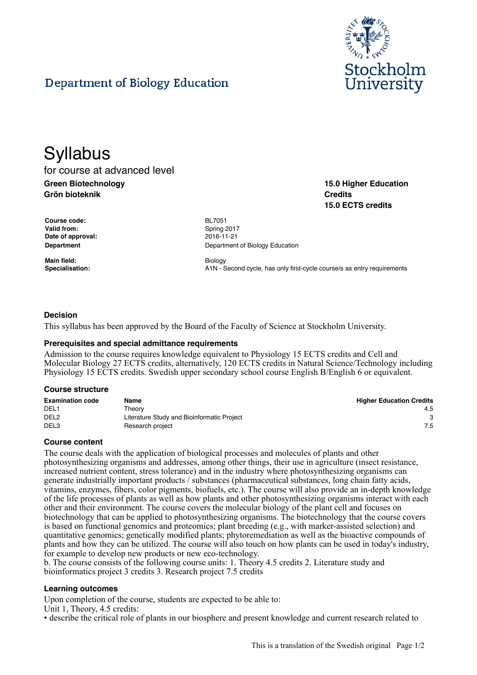

**15.0 Higher Education**

**15.0 ECTS credits**

**Credits**

# Department of Biology Education

# **Syllabus**

for course at advanced level **Green Biotechnology Grön bioteknik**

**Course code:** BL7051 Valid from: Spring 2017 **Date of approval:** 2016-11-21

**Main field:** Biology

**Department** Department **Department** of Biology Education

**Specialisation:** A1N - Second cycle, has only first-cycle course/s as entry requirements

### **Decision**

This syllabus has been approved by the Board of the Faculty of Science at Stockholm University.

#### **Prerequisites and special admittance requirements**

Admission to the course requires knowledge equivalent to Physiology 15 ECTS credits and Cell and Molecular Biology 27 ECTS credits, alternatively, 120 ECTS credits in Natural Science/Technology including Physiology 15 ECTS credits. Swedish upper secondary school course English B/English 6 or equivalent.

#### **Course structure**

| <b>Examination code</b> | Name                                       | <b>Higher Education Credits</b> |
|-------------------------|--------------------------------------------|---------------------------------|
| DEL <sub>1</sub>        | Theorv                                     | 4.5                             |
| DEL <sub>2</sub>        | Literature Study and Bioinformatic Project |                                 |
| DEL3                    | Research project                           | 7.5                             |

#### **Course content**

The course deals with the application of biological processes and molecules of plants and other photosynthesizing organisms and addresses, among other things, their use in agriculture (insect resistance, increased nutrient content, stress tolerance) and in the industry where photosynthesizing organisms can generate industrially important products / substances (pharmaceutical substances, long chain fatty acids, vitamins, enzymes, fibers, color pigments, biofuels, etc.). The course will also provide an in-depth knowledge of the life processes of plants as well as how plants and other photosynthesizing organisms interact with each other and their environment. The course covers the molecular biology of the plant cell and focuses on biotechnology that can be applied to photosynthesizing organisms. The biotechnology that the course covers is based on functional genomics and proteomics; plant breeding (e.g., with marker-assisted selection) and quantitative genomics; genetically modified plants; phytoremediation as well as the bioactive compounds of plants and how they can be utilized. The course will also touch on how plants can be used in today's industry, for example to develop new products or new eco-technology.

b. The course consists of the following course units: 1. Theory 4.5 credits 2. Literature study and bioinformatics project 3 credits 3. Research project 7.5 credits

#### **Learning outcomes**

Upon completion of the course, students are expected to be able to:

Unit 1, Theory, 4.5 credits:

• describe the critical role of plants in our biosphere and present knowledge and current research related to